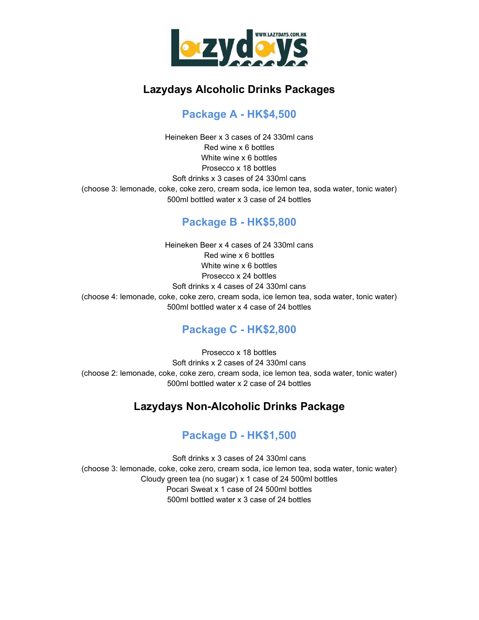

## Lazydays Alcoholic Drinks Packages

#### Package A - HK\$4,500

Heineken Beer x 3 cases of 24 330ml cans Red wine x 6 bottles White wine x 6 bottles Prosecco x 18 bottles Soft drinks x 3 cases of 24 330ml cans (choose 3: lemonade, coke, coke zero, cream soda, ice lemon tea, soda water, tonic water) 500ml bottled water x 3 case of 24 bottles

#### Package B - HK\$5,800

Heineken Beer x 4 cases of 24 330ml cans Red wine x 6 bottles White wine x 6 bottles Prosecco x 24 bottles Soft drinks x 4 cases of 24 330ml cans (choose 4: lemonade, coke, coke zero, cream soda, ice lemon tea, soda water, tonic water) 500ml bottled water x 4 case of 24 bottles

#### Package C - HK\$2,800

Prosecco x 18 bottles Soft drinks x 2 cases of 24 330ml cans (choose 2: lemonade, coke, coke zero, cream soda, ice lemon tea, soda water, tonic water) 500ml bottled water x 2 case of 24 bottles

#### Lazydays Non-Alcoholic Drinks Package

#### Package D - HK\$1,500

Soft drinks x 3 cases of 24 330ml cans (choose 3: lemonade, coke, coke zero, cream soda, ice lemon tea, soda water, tonic water) Cloudy green tea (no sugar) x 1 case of 24 500ml bottles Pocari Sweat x 1 case of 24 500ml bottles 500ml bottled water x 3 case of 24 bottles